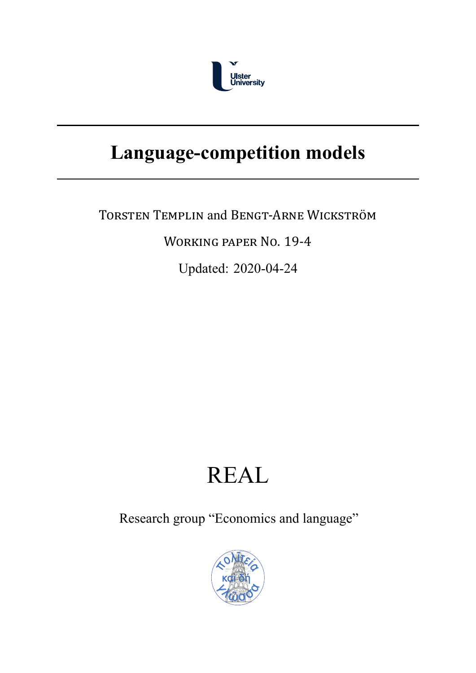

# **Language-competition models**

TORSTEN TEMPLIN and BENGT‐ARNE WICKSTRÖM

WORKING PAPER NO. 19‐4

Updated: 2020-04-24

# REAL

Research group "Economics and language"

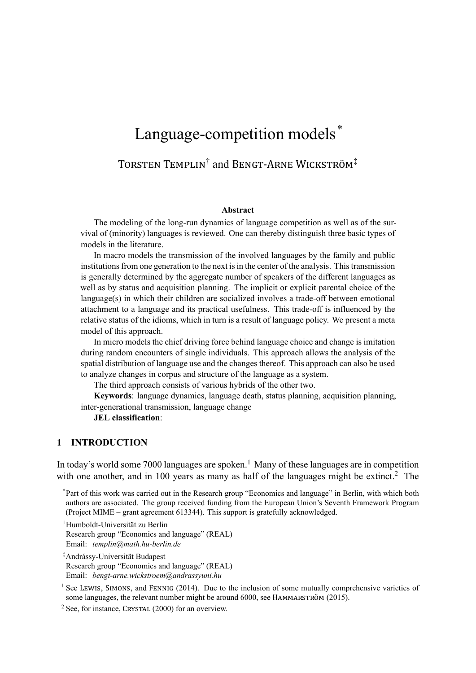# Language-competition models<sup>\*</sup>

# TORSTEN TEMPLIN† and BENGT‐ARNE WICKSTRÖM‡

#### **Abstract**

The modeling of the long-run dynamics of language competition as well as of the survival of (minority) languages is reviewed. One can thereby distinguish three basic types of models in the literature.

In macro models the transmission of the involved languages by the family and public institutions from one generation to the next is in the center of the analysis. This transmission is generally determined by the aggregate number of speakers of the different languages as well as by status and acquisition planning. The implicit or explicit parental choice of the  $lange(s)$  in which their children are socialized involves a trade-off between emotional attachment to a language and its practical usefulness. This trade-off is influenced by the relative status of the idioms, which in turn is a result of language policy. We present a meta model of this approach.

In micro models the chief driving force behind language choice and change is imitation during random encounters of single individuals. This approach allows the analysis of the spatial distribution of language use and the changes thereof. This approach can also be used to analyze changes in corpus and structure of the language as a system.

The third approach consists of various hybrids of the other two.

**Keywords**: language dynamics, language death, status planning, acquisition planning, inter-generational transmission, language change

**JEL classification**:

# **1 INTRODUCTION**

In today's world some 7000 languages are spoken.<sup>1</sup> Many of these languages are in competition with one another, and in 100 years as many as half of the languages might be extinct.<sup>2</sup> The

Email: *templin@math.huberlin.de*

‡Andrássy-Universität Budapest

<sup>\*</sup>Part of this work was carried out in the Research group "Economics and language" in Berlin, with which both authors are associated. The group received funding from the European Union's Seventh Framework Program (Project MIME – grant agreement 613344). This support is gratefully acknowledged.

<sup>&</sup>lt;sup>†</sup>Humboldt-Universität zu Berlin

Research group "Economics and language" (REAL)

Research group "Economics and language" (REAL)

Email: *bengt-arne.wickstroem@andrassyuni.hu* 

<sup>&</sup>lt;sup>1</sup> See LEWIS, SIMONS, and FENNIG (2014). Due to the inclusion of some mutually comprehensive varieties of some languages, the relevant number might be around 6000, see HAMMARSTRÖM (2015).

<sup>&</sup>lt;sup>2</sup> See, for instance, CRYSTAL  $(2000)$  for an overview.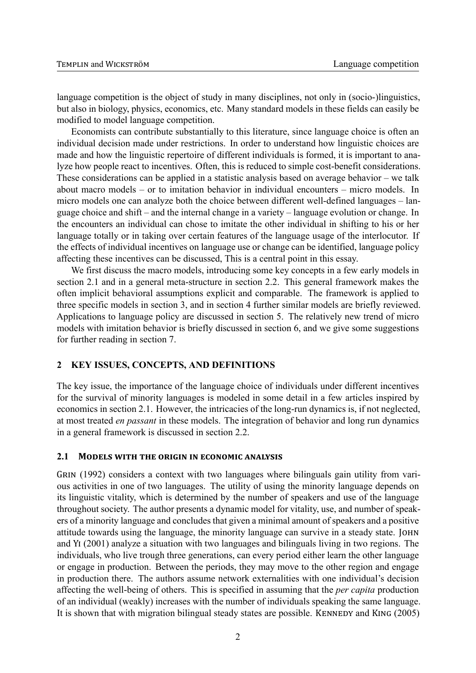language competition is the object of study in many disciplines, not only in (socio-)linguistics, but also in biology, physics, economics, etc. Many standard models in these fields can easily be modified to model language competition.

Economists can contribute substantially to this literature, since language choice is often an individual decision made under restrictions. In order to understand how linguistic choices are made and how the linguistic repertoire of different individuals is formed, it is important to analyze how people react to incentives. Often, this is reduced to simple cost-benefit considerations. These considerations can be applied in a statistic analysis based on average behavior – we talk about macro models – or to imitation behavior in individual encounters – micro models. In micro models one can analyze both the choice between different well-defined languages – language choice and shift – and the internal change in a variety – language evolution or change. In the encounters an individual can chose to imitate the other individual in shifting to his or her language totally or in taking over certain features of the language usage of the interlocutor. If the effects of individual incentives on language use or change can be identified, language policy affecting these incentives can be discussed, This is a central point in this essay.

We first discuss the macro models, introducing some key concepts in a few early models in section 2.1 and in a general meta-structure in section 2.2. This general framework makes the often implicit behavioral assumptions explicit and comparable. The framework is applied to three specific models in section 3, and in section 4 further similar models are briefly reviewed. Applications to language policy are discussed in section 5. The relatively new trend of micro models with imitation behavior is briefly discussed in section 6, and we give some suggestions for further reading in section 7.

#### **2 KEY ISSUES, CONCEPTS, AND DEFINITIONS**

The key issue, the importance of the language choice of individuals under different incentives for the survival of minority languages is modeled in some detail in a few articles inspired by economics in section 2.1. However, the intricacies of the long-run dynamics is, if not neglected, at most treated *en passant* in these models. The integration of behavior and long run dynamics in a general framework is discussed in section 2.2.

# **2.1 MODELS WITH THE ORIGIN IN ECONOMIC ANALYSIS**

GRIN (1992) considers a context with two languages where bilinguals gain utility from various activities in one of two languages. The utility of using the minority language depends on its linguistic vitality, which is determined by the number of speakers and use of the language throughout society. The author presents a dynamic model for vitality, use, and number of speakers of a minority language and concludes that given a minimal amount of speakers and a positive attitude towards using the language, the minority language can survive in a steady state. JOHN and YI (2001) analyze a situation with two languages and bilinguals living in two regions. The individuals, who live trough three generations, can every period either learn the other language or engage in production. Between the periods, they may move to the other region and engage in production there. The authors assume network externalities with one individual's decision affecting the well-being of others. This is specified in assuming that the *per capita* production of an individual (weakly) increases with the number of individuals speaking the same language. It is shown that with migration bilingual steady states are possible. KENNEDY and KING (2005)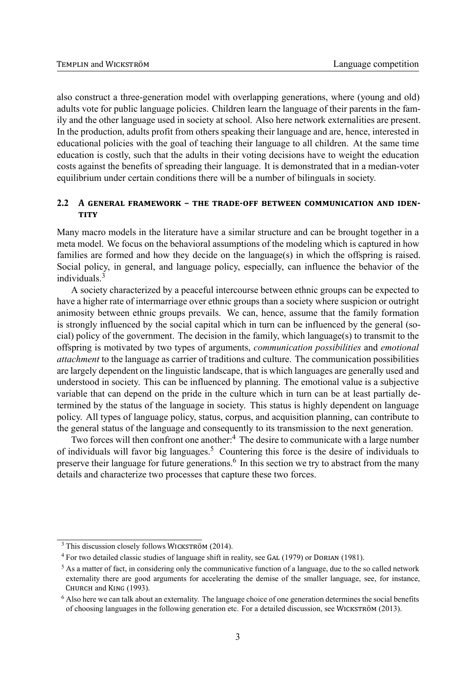also construct a three-generation model with overlapping generations, where (young and old) adults vote for public language policies. Children learn the language of their parents in the family and the other language used in society at school. Also here network externalities are present. In the production, adults profit from others speaking their language and are, hence, interested in educational policies with the goal of teaching their language to all children. At the same time education is costly, such that the adults in their voting decisions have to weight the education costs against the benefits of spreading their language. It is demonstrated that in a median-voter equilibrium under certain conditions there will be a number of bilinguals in society.

# **2.2 A GENERAL FRAMEWORK – THE TRADE‐OFF BETWEEN COMMUNICATION AND IDEN‐ TITY**

Many macro models in the literature have a similar structure and can be brought together in a meta model. We focus on the behavioral assumptions of the modeling which is captured in how families are formed and how they decide on the language(s) in which the offspring is raised. Social policy, in general, and language policy, especially, can influence the behavior of the individuals $\frac{3}{3}$ 

A society characterized by a peaceful intercourse between ethnic groups can be expected to have a higher rate of intermarriage over ethnic groups than a society where suspicion or outright animosity between ethnic groups prevails. We can, hence, assume that the family formation is strongly influenced by the social capital which in turn can be influenced by the general (social) policy of the government. The decision in the family, which language(s) to transmit to the offspring is motivated by two types of arguments, *communication possibilities* and *emotional attachment* to the language as carrier of traditions and culture. The communication possibilities are largely dependent on the linguistic landscape, that is which languages are generally used and understood in society. This can be influenced by planning. The emotional value is a subjective variable that can depend on the pride in the culture which in turn can be at least partially determined by the status of the language in society. This status is highly dependent on language policy. All types of language policy, status, corpus, and acquisition planning, can contribute to the general status of the language and consequently to its transmission to the next generation.

Two forces will then confront one another:<sup>4</sup> The desire to communicate with a large number of individuals will favor big languages.<sup>5</sup> Countering this force is the desire of individuals to preserve their language for future generations.<sup>6</sup> In this section we try to abstract from the many details and characterize two processes that capture these two forces.

<sup>3</sup> This discussion closely follows WICKSTRÖM (2014).

<sup>4</sup> For two detailed classic studies of language shift in reality, see GAL (1979) or DORIAN (1981).

<sup>&</sup>lt;sup>5</sup> As a matter of fact, in considering only the communicative function of a language, due to the so called network externality there are good arguments for accelerating the demise of the smaller language, see, for instance, CHURCH and KING (1993).

<sup>&</sup>lt;sup>6</sup> Also here we can talk about an externality. The language choice of one generation determines the social benefits of choosing languages in the following generation etc. For a detailed discussion, see WICKSTRÖM (2013).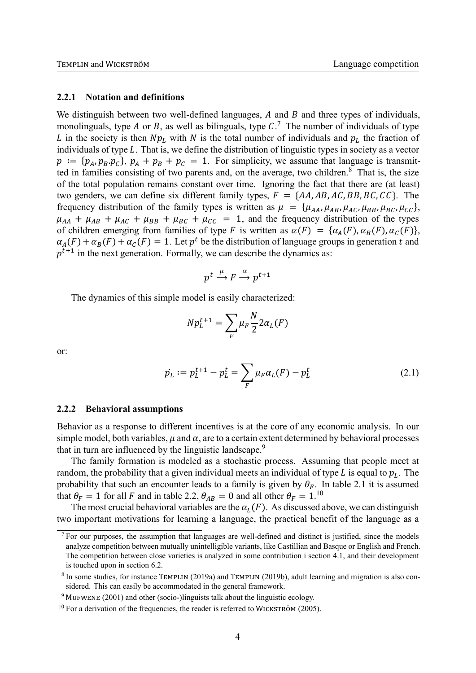#### **2.2.1 Notation and definitions**

We distinguish between two well-defined languages,  $A$  and  $B$  and three types of individuals, monolinguals, type A or B, as well as bilinguals, type  $C<sup>7</sup>$  The number of individuals of type L in the society is then  $Np_L$  with N is the total number of individuals and  $p_L$  the fraction of individuals of type  $L$ . That is, we define the distribution of linguistic types in society as a vector  $p := \{p_A, p_B, p_C\}, p_A + p_B + p_C = 1$ . For simplicity, we assume that language is transmitted in families consisting of two parents and, on the average, two children. $8$  That is, the size of the total population remains constant over time. Ignoring the fact that there are (at least) two genders, we can define six different family types,  $F = \{AA, AB, AC, BB, BC, CC\}$ . The frequency distribution of the family types is written as  $\mu = {\mu_{AA}, \mu_{AB}, \mu_{AC}, \mu_{BB}, \mu_{BC}, \mu_{CC}}$  $\mu_{AA}$  +  $\mu_{AB}$  +  $\mu_{AC}$  +  $\mu_{BB}$  +  $\mu_{BC}$  +  $\mu_{CC}$  = 1, and the frequency distribution of the types of children emerging from families of type F is written as  $\alpha(F) = {\alpha_A(F), \alpha_B(F), \alpha_C(F)}$ ,  $\alpha_A(F) + \alpha_B(F) + \alpha_C(F) = 1$ . Let  $p^t$  be the distribution of language groups in generation t and  $p^{t+1}$  in the next generation. Formally, we can describe the dynamics as:

$$
p^t \stackrel{\mu}{\longrightarrow} F \stackrel{\alpha}{\longrightarrow} p^{t+1}
$$

The dynamics of this simple model is easily characterized:

$$
N p_L^{t+1} = \sum_F \mu_F \frac{N}{2} 2 \alpha_L(F)
$$

or:

$$
\dot{p}_L := p_L^{t+1} - p_L^t = \sum_F \mu_F \alpha_L(F) - p_L^t \tag{2.1}
$$

#### **2.2.2 Behavioral assumptions**

Behavior as a response to different incentives is at the core of any economic analysis. In our simple model, both variables,  $\mu$  and  $\alpha$ , are to a certain extent determined by behavioral processes that in turn are influenced by the linguistic landscape.<sup>9</sup>

The family formation is modeled as a stochastic process. Assuming that people meet at random, the probability that a given individual meets an individual of type  $L$  is equal to  $p<sub>L</sub>$ . The probability that such an encounter leads to a family is given by  $\theta_F$ . In table 2.1 it is assumed that  $\theta_F = 1$  for all F and in table 2.2,  $\theta_{AB} = 0$  and all other  $\theta_F = 1$ .<sup>10</sup>

The most crucial behavioral variables are the  $\alpha_L(F)$ . As discussed above, we can distinguish two important motivations for learning a language, the practical benefit of the language as a

 $<sup>7</sup>$  For our purposes, the assumption that languages are well-defined and distinct is justified, since the models</sup> analyze competition between mutually unintelligible variants, like Castillian and Basque or English and French. The competition between close varieties is analyzed in some contribution i section 4.1, and their development is touched upon in section 6.2.

<sup>&</sup>lt;sup>8</sup> In some studies, for instance TEMPLIN (2019a) and TEMPLIN (2019b), adult learning and migration is also considered. This can easily be accommodated in the general framework.

 $9$  MUFWENE (2001) and other (socio-)linguists talk about the linguistic ecology.

 $10$  For a derivation of the frequencies, the reader is referred to WICKSTRÖM (2005).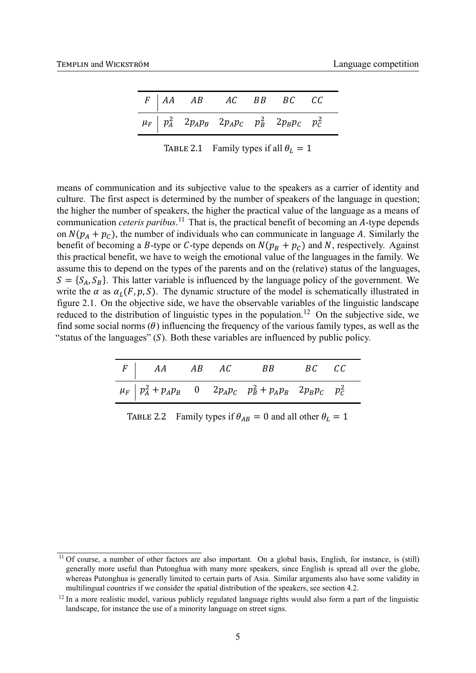|  | $F$ $AA$ $AB$ $AC$ $BB$ $BC$ $CC$                                |  |  |  |
|--|------------------------------------------------------------------|--|--|--|
|  | $\mu_F$ $p_A^2$ $2p_A p_B$ $2p_A p_C$ $p_B^2$ $2p_B p_C$ $p_C^2$ |  |  |  |

TABLE 2.1 Family types if all  $\theta_L = 1$ 

means of communication and its subjective value to the speakers as a carrier of identity and culture. The first aspect is determined by the number of speakers of the language in question; the higher the number of speakers, the higher the practical value of the language as a means of communication *ceteris paribus*.<sup>11</sup> That is, the practical benefit of becoming an A-type depends on  $N(p_A + p_C)$ , the number of individuals who can communicate in language A. Similarly the benefit of becoming a B-type or C-type depends on  $N(p_B + p_C)$  and N, respectively. Against this practical benefit, we have to weigh the emotional value of the languages in the family. We assume this to depend on the types of the parents and on the (relative) status of the languages,  $S = \{S_A, S_B\}$ . This latter variable is influenced by the language policy of the government. We write the  $\alpha$  as  $\alpha_L(F, p, S)$ . The dynamic structure of the model is schematically illustrated in figure 2.1. On the objective side, we have the observable variables of the linguistic landscape reduced to the distribution of linguistic types in the population.<sup>12</sup> On the subjective side, we find some social norms  $(\theta)$  influencing the frequency of the various family types, as well as the "status of the languages"  $(S)$ . Both these variables are influenced by public policy.

|  |  | $F$ AA AB AC BB BC CC                                                       |  |  |
|--|--|-----------------------------------------------------------------------------|--|--|
|  |  | $\mu_F$ $p_A^2 + p_A p_B$ 0 $2p_A p_C$ $p_B^2 + p_A p_B$ $2p_B p_C$ $p_C^2$ |  |  |

|  |  | TABLE 2.2 Family types if $\theta_{AB} = 0$ and all other $\theta_L = 1$ |  |
|--|--|--------------------------------------------------------------------------|--|
|--|--|--------------------------------------------------------------------------|--|

<sup>&</sup>lt;sup>11</sup> Of course, a number of other factors are also important. On a global basis, English, for instance, is (still) generally more useful than Putonghua with many more speakers, since English is spread all over the globe, whereas Putonghua is generally limited to certain parts of Asia. Similar arguments also have some validity in multilingual countries if we consider the spatial distribution of the speakers, see section 4.2.

 $12$  In a more realistic model, various publicly regulated language rights would also form a part of the linguistic landscape, for instance the use of a minority language on street signs.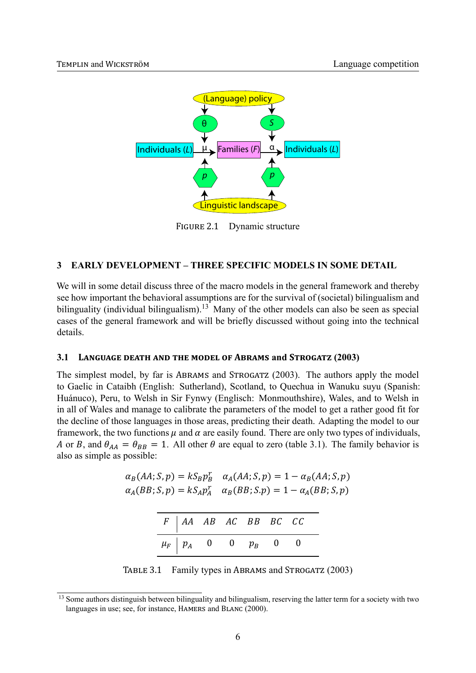

FIGURE 2.1 Dynamic structure

# **3 EARLY DEVELOPMENT – THREE SPECIFIC MODELS IN SOME DETAIL**

We will in some detail discuss three of the macro models in the general framework and thereby see how important the behavioral assumptions are for the survival of (societal) bilingualism and bilinguality (individual bilingualism).<sup>13</sup> Many of the other models can also be seen as special cases of the general framework and will be briefly discussed without going into the technical details.

# **3.1 LANGUAGE DEATH AND THE MODEL OF ABRAMS and STROGATZ (2003)**

The simplest model, by far is ABRAMS and STROGATZ (2003). The authors apply the model to Gaelic in Cataibh (English: Sutherland), Scotland, to Quechua in Wanuku suyu (Spanish: Huánuco), Peru, to Welsh in Sir Fynwy (Englisch: Monmouthshire), Wales, and to Welsh in in all of Wales and manage to calibrate the parameters of the model to get a rather good fit for the decline of those languages in those areas, predicting their death. Adapting the model to our framework, the two functions  $\mu$  and  $\alpha$  are easily found. There are only two types of individuals, A or B, and  $\theta_{AA} = \theta_{BB} = 1$ . All other  $\theta$  are equal to zero (table 3.1). The family behavior is also as simple as possible:

$$
\alpha_B(AA; S, p) = kS_B p_B^r \quad \alpha_A(AA; S, p) = 1 - \alpha_B(AA; S, p)
$$
  

$$
\alpha_A(BB; S, p) = kS_A p_A^r \quad \alpha_B(BB; S, p) = 1 - \alpha_A(BB; S, p)
$$

|  |  | $F$ $AB$ $AC$ $BB$ $BC$ $CC$ |  |  |
|--|--|------------------------------|--|--|
|  |  | $\mu_F$ $p_A$ 0 0 $p_B$ 0 0  |  |  |



 $\frac{13}{13}$  Some authors distinguish between bilinguality and bilingualism, reserving the latter term for a society with two languages in use; see, for instance, HAMERS and BLANC (2000).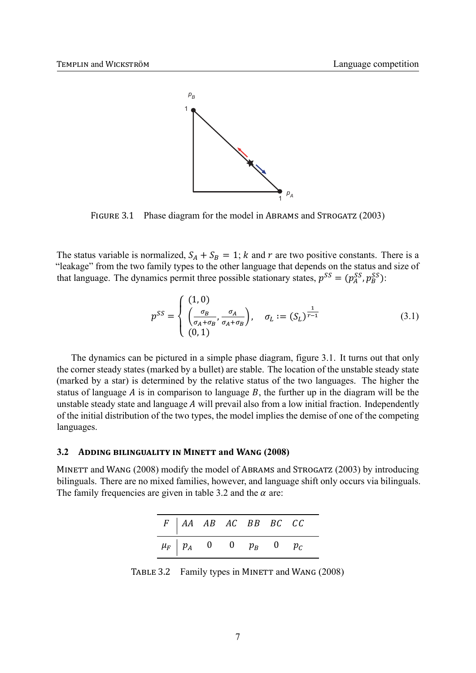

FIGURE 3.1 Phase diagram for the model in ABRAMS and STROGATZ (2003)

The status variable is normalized,  $S_A + S_B = 1$ ; k and r are two positive constants. There is a "leakage" from the two family types to the other language that depends on the status and size of that language. The dynamics permit three possible stationary states,  $p^{SS} = (p_A^{SS}, p_B^{SS})$ :

$$
p^{SS} = \begin{cases} (1,0) \\ \left(\frac{\sigma_B}{\sigma_A + \sigma_B}, \frac{\sigma_A}{\sigma_A + \sigma_B}\right), & \sigma_L := (S_L)^{\frac{1}{r-1}} \\ (0,1) \end{cases}
$$
(3.1)

The dynamics can be pictured in a simple phase diagram, figure 3.1. It turns out that only the corner steady states (marked by a bullet) are stable. The location of the unstable steady state (marked by a star) is determined by the relative status of the two languages. The higher the status of language  $A$  is in comparison to language  $B$ , the further up in the diagram will be the unstable steady state and language  $A$  will prevail also from a low initial fraction. Independently of the initial distribution of the two types, the model implies the demise of one of the competing languages.

# **3.2 ADDING BILINGUALITY IN MINETT and WANG (2008)**

MINETT and WANG (2008) modify the model of ABRAMS and STROGATZ (2003) by introducing bilinguals. There are no mixed families, however, and language shift only occurs via bilinguals. The family frequencies are given in table 3.2 and the  $\alpha$  are:

|  |  | $F$ $AB$ $AC$ $BB$ $BC$ $CC$      |  |  |
|--|--|-----------------------------------|--|--|
|  |  | $\mu_F$   $p_A$ 0 0 $p_B$ 0 $p_C$ |  |  |

TABLE 3.2 Family types in MINETT and WANG (2008)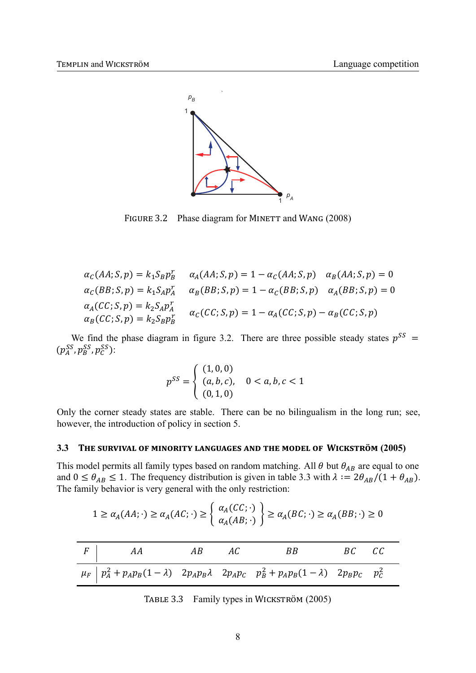

FIGURE 3.2 Phase diagram for MINETT and WANG (2008)

$$
\alpha_C(AA; S, p) = k_1 S_B p_B^r \qquad \alpha_A(AA; S, p) = 1 - \alpha_C(AA; S, p) \qquad \alpha_B(AA; S, p) = 0
$$
  
\n
$$
\alpha_C(BB; S, p) = k_1 S_A p_A^r \qquad \alpha_B(BB; S, p) = 1 - \alpha_C(BB; S, p) \qquad \alpha_A(BB; S, p) = 0
$$
  
\n
$$
\alpha_A(CC; S, p) = k_2 S_A p_A^r \qquad \alpha_C(CC; S, p) = 1 - \alpha_A(CC; S, p) - \alpha_B(CC; S, p)
$$

We find the phase diagram in figure 3.2. There are three possible steady states  $p^{SS}$  =  $(p_A^{SS}, p_B^{SS}, p_C^{SS})$ :

$$
p^{SS} = \begin{cases} (1,0,0) \\ (a,b,c), & 0 < a,b,c < 1 \\ (0,1,0) \end{cases}
$$

Only the corner steady states are stable. There can be no bilingualism in the long run; see, however, the introduction of policy in section 5.

#### **3.3 THE SURVIVAL OF MINORITY LANGUAGES AND THE MODEL OF WICKSTRÖM (2005)**

This model permits all family types based on random matching. All  $\theta$  but  $\theta_{AB}$  are equal to one and  $0 \le \theta_{AB} \le 1$ . The frequency distribution is given in table 3.3 with  $\lambda := 2\theta_{AB}/(1 + \theta_{AB})$ . The family behavior is very general with the only restriction:

| $1 \ge \alpha_A(AA; \cdot) \ge \alpha_A(AC; \cdot) \ge \begin{cases} \alpha_A(CC; \cdot) \\ \alpha_A(AB; \cdot) \end{cases} \ge \alpha_A(BC; \cdot) \ge \alpha_A(BB; \cdot) \ge 0$ |  |  |  |
|------------------------------------------------------------------------------------------------------------------------------------------------------------------------------------|--|--|--|
| $F$ and $AB$ and $AB$ and $BB$ bc cc                                                                                                                                               |  |  |  |
| $\mu_F \left[ p_A^2 + p_A p_B (1 - \lambda) \right] 2 p_A p_B \lambda$ $2 p_A p_C$ $p_B^2 + p_A p_B (1 - \lambda)$ $2 p_B p_C$ $p_C^2$                                             |  |  |  |

TABLE 3.3 Family types in WICKSTRÖM (2005)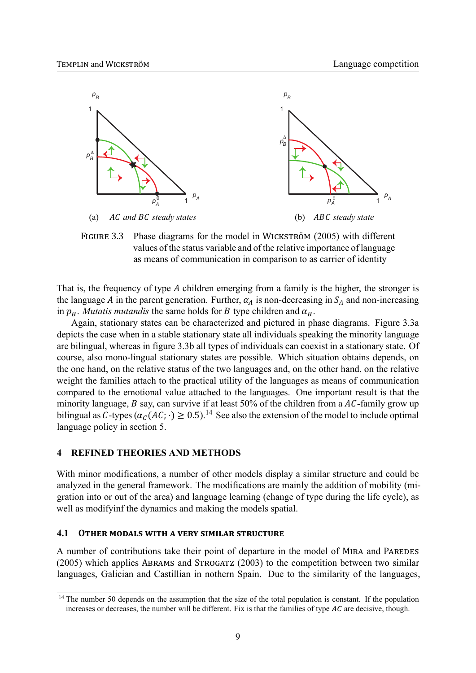

FIGURE 3.3 Phase diagrams for the model in WICKSTRÖM (2005) with different values of the status variable and of the relative importance of language as means of communication in comparison to as carrier of identity

That is, the frequency of type  $A$  children emerging from a family is the higher, the stronger is the language A in the parent generation. Further,  $\alpha_A$  is non-decreasing in  $S_A$  and non-increasing in  $p_B$ . *Mutatis mutandis* the same holds for *B* type children and  $\alpha_B$ .

Again, stationary states can be characterized and pictured in phase diagrams. Figure 3.3a depicts the case when in a stable stationary state all individuals speaking the minority language are bilingual, whereas in figure 3.3b all types of individuals can coexist in a stationary state. Of course, also mono-lingual stationary states are possible. Which situation obtains depends, on the one hand, on the relative status of the two languages and, on the other hand, on the relative weight the families attach to the practical utility of the languages as means of communication compared to the emotional value attached to the languages. One important result is that the minority language,  $B$  say, can survive if at least 50% of the children from a  $AC$ -family grow up bilingual as  $\mathcal{C}$ -types ( $\alpha_{\mathcal{C}}(AC; \cdot) \ge 0.5$ ).<sup>14</sup> See also the extension of the model to include optimal language policy in section 5.

# **4 REFINED THEORIES AND METHODS**

With minor modifications, a number of other models display a similar structure and could be analyzed in the general framework. The modifications are mainly the addition of mobility (migration into or out of the area) and language learning (change of type during the life cycle), as well as modifyinf the dynamics and making the models spatial.

## **4.1 OTHER MODALS WITH A VERY SIMILAR STRUCTURE**

A number of contributions take their point of departure in the model of MIRA and PAREDES (2005) which applies ABRAMS and STROGATZ (2003) to the competition between two similar languages, Galician and Castillian in nothern Spain. Due to the similarity of the languages,

 $14$  The number 50 depends on the assumption that the size of the total population is constant. If the population increases or decreases, the number will be different. Fix is that the families of type  $AC$  are decisive, though.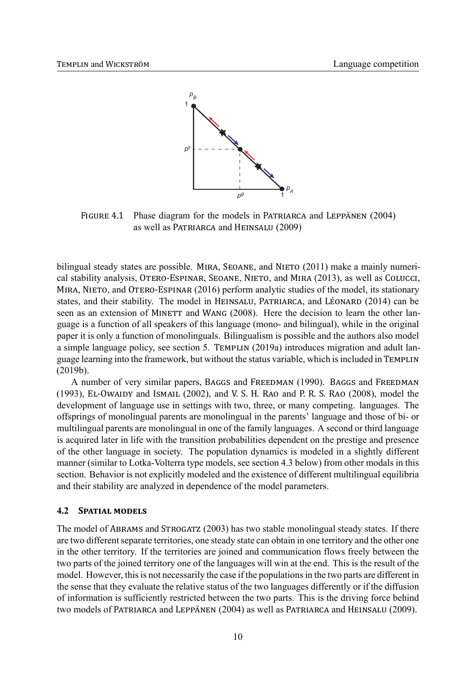

FIGURE 4.1 Phase diagram for the models in PATRIARCA and LEPPÄNEN (2004) as well as PATRIARCA and HEINSALU (2009)

bilingual steady states are possible. MIRA, SEOANE, and NIETO (2011) make a mainly numerical stability analysis, OTERO‐ESPINAR, SEOANE, NIETO, and MIRA (2013), as well as COLUCCI, MIRA, NIETO, and OTERO-ESPINAR (2016) perform analytic studies of the model, its stationary states, and their stability. The model in HEINSALU, PATRIARCA, and LÉONARD (2014) can be seen as an extension of MINETT and WANG (2008). Here the decision to learn the other language is a function of all speakers of this language (mono and bilingual), while in the original paper it is only a function of monolinguals. Bilingualism is possible and the authors also model a simple language policy, see section 5. TEMPLIN (2019a) introduces migration and adult language learning into the framework, but without the status variable, which is included in TEMPLIN (2019b).

A number of very similar papers, BAGGS and FREEDMAN (1990). BAGGS and FREEDMAN (1993), EL‐OWAIDY and ISMAIL (2002), and V. S. H. RAO and P. R. S. RAO (2008), model the development of language use in settings with two, three, or many competing. languages. The offsprings of monolingual parents are monolingual in the parents' language and those of bi- or multilingual parents are monolingual in one of the family languages. A second or third language is acquired later in life with the transition probabilities dependent on the prestige and presence of the other language in society. The population dynamics is modeled in a slightly different manner (similar to Lotka-Volterra type models, see section 4.3 below) from other modals in this section. Behavior is not explicitly modeled and the existence of different multilingual equilibria and their stability are analyzed in dependence of the model parameters.

# **4.2 SPATIAL MODELS**

The model of ABRAMS and STROGATZ (2003) has two stable monolingual steady states. If there are two different separate territories, one steady state can obtain in one territory and the other one in the other territory. If the territories are joined and communication flows freely between the two parts of the joined territory one of the languages will win at the end. This is the result of the model. However, this is not necessarily the case if the populations in the two parts are different in the sense that they evaluate the relative status of the two languages differently or if the diffusion of information is sufficiently restricted between the two parts. This is the driving force behind two models of PATRIARCA and LEPPÄNEN (2004) as well as PATRIARCA and HEINSALU (2009).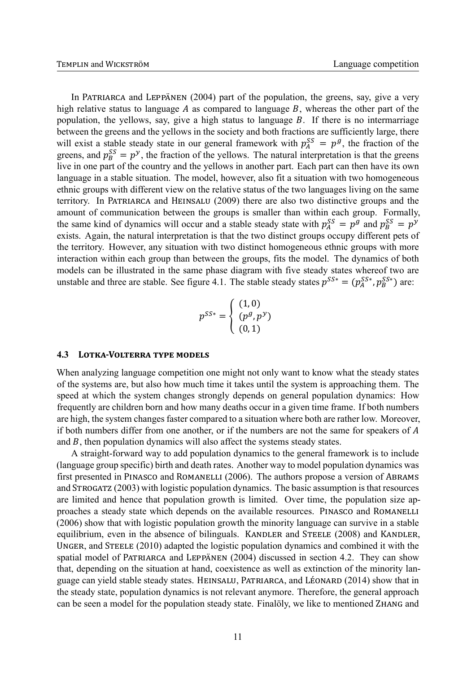In PATRIARCA and LEPPÄNEN (2004) part of the population, the greens, say, give a very high relative status to language A as compared to language  $B$ , whereas the other part of the population, the yellows, say, give a high status to language  $B$ . If there is no intermarriage between the greens and the yellows in the society and both fractions are sufficiently large, there will exist a stable steady state in our general framework with  $p_A^{SS} = p^g$ , the fraction of the greens, and  $p_B^{SS} = p^y$ , the fraction of the yellows. The natural interpretation is that the greens live in one part of the country and the yellows in another part. Each part can then have its own language in a stable situation. The model, however, also fit a situation with two homogeneous ethnic groups with different view on the relative status of the two languages living on the same territory. In PATRIARCA and HEINSALU (2009) there are also two distinctive groups and the amount of communication between the groups is smaller than within each group. Formally, the same kind of dynamics will occur and a stable steady state with  $p_A^{SS} = p^g$  and  $p_B^{SS} = p^y$ exists. Again, the natural interpretation is that the two distinct groups occupy different pets of the territory. However, any situation with two distinct homogeneous ethnic groups with more interaction within each group than between the groups, fits the model. The dynamics of both models can be illustrated in the same phase diagram with five steady states whereof two are unstable and three are stable. See figure 4.1. The stable steady states  $p^{SS*} = (p_A^{SS*}, p_B^{SS*})$  are:

$$
p^{SS*} = \begin{cases} (1,0) \\ (p^g, p^y) \\ (0,1) \end{cases}
$$

#### **4.3 LOTKA‐VOLTERRA TYPE MODELS**

When analyzing language competition one might not only want to know what the steady states of the systems are, but also how much time it takes until the system is approaching them. The speed at which the system changes strongly depends on general population dynamics: How frequently are children born and how many deaths occur in a given time frame. If both numbers are high, the system changes faster compared to a situation where both are rather low. Moreover, if both numbers differ from one another, or if the numbers are not the same for speakers of A and  $B$ , then population dynamics will also affect the systems steady states.

A straight-forward way to add population dynamics to the general framework is to include (language group specific) birth and death rates. Another way to model population dynamics was first presented in PINASCO and ROMANELLI (2006). The authors propose a version of ABRAMS and STROGATZ (2003) with logistic population dynamics. The basic assumption is that resources are limited and hence that population growth is limited. Over time, the population size approaches a steady state which depends on the available resources. PINASCO and ROMANELLI (2006) show that with logistic population growth the minority language can survive in a stable equilibrium, even in the absence of bilinguals. KANDLER and STEELE (2008) and KANDLER, UNGER, and STEELE (2010) adapted the logistic population dynamics and combined it with the spatial model of PATRIARCA and LEPPÄNEN (2004) discussed in section 4.2. They can show that, depending on the situation at hand, coexistence as well as extinction of the minority language can yield stable steady states. HEINSALU, PATRIARCA, and LÉONARD (2014) show that in the steady state, population dynamics is not relevant anymore. Therefore, the general approach can be seen a model for the population steady state. Finalöly, we like to mentioned ZHANG and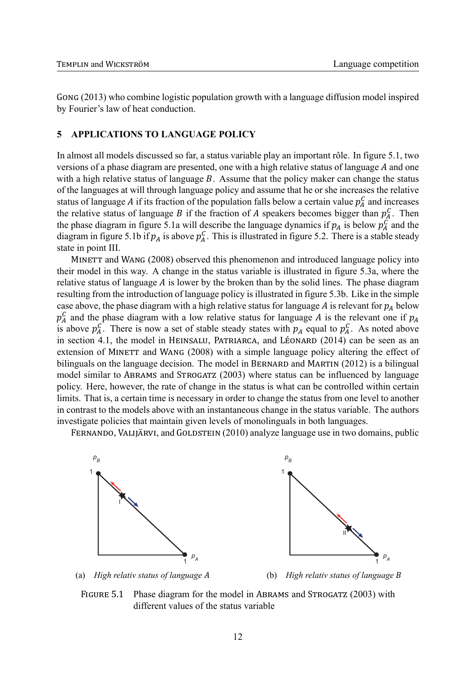GONG (2013) who combine logistic population growth with a language diffusion model inspired by Fourier's law of heat conduction.

#### **5 APPLICATIONS TO LANGUAGE POLICY**

In almost all models discussed so far, a status variable play an important rôle. In figure 5.1, two versions of a phase diagram are presented, one with a high relative status of language  $A$  and one with a high relative status of language  $B$ . Assume that the policy maker can change the status of the languages at will through language policy and assume that he or she increases the relative status of language A if its fraction of the population falls below a certain value  $p_A^C$  and increases the relative status of language B if the fraction of A speakers becomes bigger than  $p_A^C$ . Then the phase diagram in figure 5.1a will describe the language dynamics if  $p_A$  is below  $p_A^C$  and the diagram in figure 5.1b if  $p_A$  is above  $p_A^C$ . This is illustrated in figure 5.2. There is a stable steady state in point III.

MINETT and WANG (2008) observed this phenomenon and introduced language policy into their model in this way. A change in the status variable is illustrated in figure 5.3a, where the relative status of language  $\vec{A}$  is lower by the broken than by the solid lines. The phase diagram resulting from the introduction of language policy is illustrated in figure 5.3b. Like in the simple case above, the phase diagram with a high relative status for language A is relevant for  $p_A$  below  $p_A^C$  and the phase diagram with a low relative status for language A is the relevant one if  $p_A$ is above  $p_A^C$ . There is now a set of stable steady states with  $p_A$  equal to  $p_A^C$ . As noted above in section 4.1, the model in HEINSALU, PATRIARCA, and LÉONARD (2014) can be seen as an extension of MINETT and WANG (2008) with a simple language policy altering the effect of bilinguals on the language decision. The model in BERNARD and MARTIN (2012) is a bilingual model similar to ABRAMS and STROGATZ (2003) where status can be influenced by language policy. Here, however, the rate of change in the status is what can be controlled within certain limits. That is, a certain time is necessary in order to change the status from one level to another in contrast to the models above with an instantaneous change in the status variable. The authors investigate policies that maintain given levels of monolinguals in both languages.

FERNANDO, VALIJÄRVI, and GOLDSTEIN (2010) analyze language use in two domains, public



(a) *High relativ status of language*



FIGURE 5.1 Phase diagram for the model in ABRAMS and STROGATZ (2003) with different values of the status variable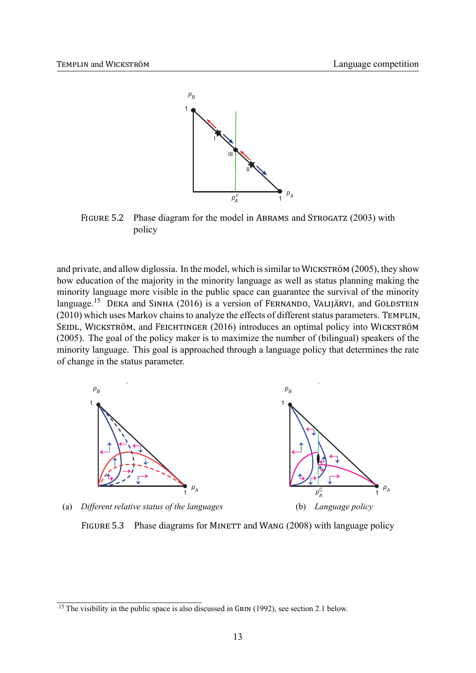

FIGURE 5.2 Phase diagram for the model in ABRAMS and STROGATZ (2003) with policy

and private, and allow diglossia. In the model, which is similar to WICKSTRÖM (2005), they show how education of the majority in the minority language as well as status planning making the minority language more visible in the public space can guarantee the survival of the minority language.<sup>15</sup> DEKA and SINHA (2016) is a version of FERNANDO, VALIJÄRVI, and GOLDSTEIN (2010) which uses Markov chains to analyze the effects of different status parameters. TEMPLIN, SEIDL, WICKSTRÖM, and FEICHTINGER (2016) introduces an optimal policy into WICKSTRÖM (2005). The goal of the policy maker is to maximize the number of (bilingual) speakers of the minority language. This goal is approached through a language policy that determines the rate of change in the status parameter.





FIGURE 5.3 Phase diagrams for MINETT and WANG (2008) with language policy

 $\frac{15}{15}$  The visibility in the public space is also discussed in GRIN (1992), see section 2.1 below.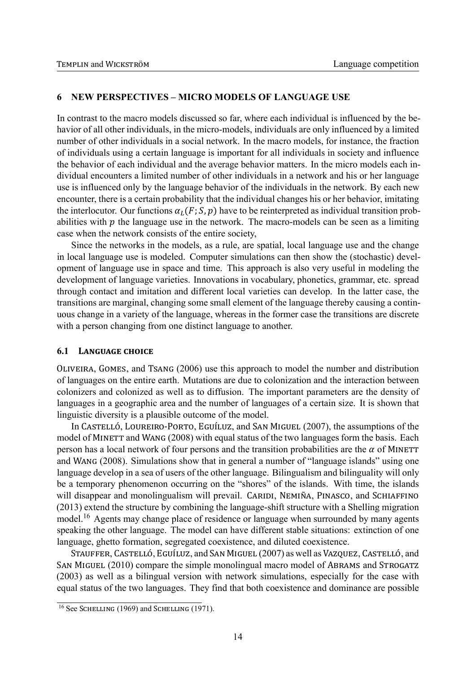#### **6 NEW PERSPECTIVES – MICRO MODELS OF LANGUAGE USE**

In contrast to the macro models discussed so far, where each individual is influenced by the behavior of all other individuals, in the micro-models, individuals are only influenced by a limited number of other individuals in a social network. In the macro models, for instance, the fraction of individuals using a certain language is important for all individuals in society and influence the behavior of each individual and the average behavior matters. In the micro models each individual encounters a limited number of other individuals in a network and his or her language use is influenced only by the language behavior of the individuals in the network. By each new encounter, there is a certain probability that the individual changes his or her behavior, imitating the interlocutor. Our functions  $\alpha_L(F; S, p)$  have to be reinterpreted as individual transition probabilities with  $p$  the language use in the network. The macro-models can be seen as a limiting case when the network consists of the entire society,

Since the networks in the models, as a rule, are spatial, local language use and the change in local language use is modeled. Computer simulations can then show the (stochastic) development of language use in space and time. This approach is also very useful in modeling the development of language varieties. Innovations in vocabulary, phonetics, grammar, etc. spread through contact and imitation and different local varieties can develop. In the latter case, the transitions are marginal, changing some small element of the language thereby causing a continuous change in a variety of the language, whereas in the former case the transitions are discrete with a person changing from one distinct language to another.

#### **6.1 LANGUAGE CHOICE**

OLIVEIRA, GOMES, and TSANG (2006) use this approach to model the number and distribution of languages on the entire earth. Mutations are due to colonization and the interaction between colonizers and colonized as well as to diffusion. The important parameters are the density of languages in a geographic area and the number of languages of a certain size. It is shown that linguistic diversity is a plausible outcome of the model.

In CASTELLÓ, LOUREIRO‐PORTO, EGUÍLUZ, and SAN MIGUEL (2007), the assumptions of the model of MINETT and WANG (2008) with equal status of the two languages form the basis. Each person has a local network of four persons and the transition probabilities are the  $\alpha$  of MINETT and WANG (2008). Simulations show that in general a number of "language islands" using one language develop in a sea of users of the other language. Bilingualism and bilinguality will only be a temporary phenomenon occurring on the "shores" of the islands. With time, the islands will disappear and monolingualism will prevail. CARIDI, NEMIÑA, PINASCO, and SCHIAFFINO  $(2013)$  extend the structure by combining the language-shift structure with a Shelling migration model.<sup>16</sup> Agents may change place of residence or language when surrounded by many agents speaking the other language. The model can have different stable situations: extinction of one language, ghetto formation, segregated coexistence, and diluted coexistence.

STAUFFER, CASTELLÓ, EGUÍLUZ, and SAN MIGUEL (2007) as well as VAZQUEZ, CASTELLÓ, and SAN MIGUEL (2010) compare the simple monolingual macro model of ABRAMS and STROGATZ (2003) as well as a bilingual version with network simulations, especially for the case with equal status of the two languages. They find that both coexistence and dominance are possible

<sup>&</sup>lt;sup>16</sup> See SCHELLING (1969) and SCHELLING (1971).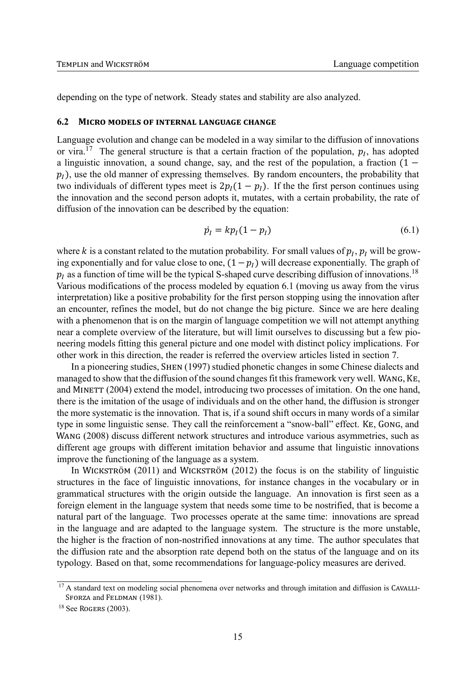depending on the type of network. Steady states and stability are also analyzed.

#### **6.2 MICRO MODELS OF INTERNAL LANGUAGE CHANGE**

Language evolution and change can be modeled in a way similar to the diffusion of innovations or vira.<sup>17</sup> The general structure is that a certain fraction of the population,  $p<sub>I</sub>$ , has adopted a linguistic innovation, a sound change, say, and the rest of the population, a fraction  $(1$  $p_l$ ), use the old manner of expressing themselves. By random encounters, the probability that two individuals of different types meet is  $2p_I(1 - p_I)$ . If the the first person continues using the innovation and the second person adopts it, mutates, with a certain probability, the rate of diffusion of the innovation can be described by the equation:

$$
\dot{p}_I = k p_I (1 - p_I) \tag{6.1}
$$

where k is a constant related to the mutation probability. For small values of  $p_I$ ,  $p_I$  will be growing exponentially and for value close to one,  $(1 - p_I)$  will decrease exponentially. The graph of  $p_1$  as a function of time will be the typical S-shaped curve describing diffusion of innovations.<sup>18</sup> Various modifications of the process modeled by equation 6.1 (moving us away from the virus interpretation) like a positive probability for the first person stopping using the innovation after an encounter, refines the model, but do not change the big picture. Since we are here dealing with a phenomenon that is on the margin of language competition we will not attempt anything near a complete overview of the literature, but will limit ourselves to discussing but a few pioneering models fitting this general picture and one model with distinct policy implications. For other work in this direction, the reader is referred the overview articles listed in section 7.

In a pioneering studies, SHEN (1997) studied phonetic changes in some Chinese dialects and managed to show that the diffusion of the sound changes fit this framework very well. WANG, KE, and MINETT (2004) extend the model, introducing two processes of imitation. On the one hand, there is the imitation of the usage of individuals and on the other hand, the diffusion is stronger the more systematic is the innovation. That is, if a sound shift occurs in many words of a similar type in some linguistic sense. They call the reinforcement a "snow-ball" effect. KE, GONG, and WANG (2008) discuss different network structures and introduce various asymmetries, such as different age groups with different imitation behavior and assume that linguistic innovations improve the functioning of the language as a system.

In WICKSTRÖM (2011) and WICKSTRÖM (2012) the focus is on the stability of linguistic structures in the face of linguistic innovations, for instance changes in the vocabulary or in grammatical structures with the origin outside the language. An innovation is first seen as a foreign element in the language system that needs some time to be nostrified, that is become a natural part of the language. Two processes operate at the same time: innovations are spread in the language and are adapted to the language system. The structure is the more unstable, the higher is the fraction of non-nostrified innovations at any time. The author speculates that the diffusion rate and the absorption rate depend both on the status of the language and on its typology. Based on that, some recommendations for language-policy measures are derived.

 $17$  A standard text on modeling social phenomena over networks and through imitation and diffusion is CAVALLI-SFORZA and FELDMAN (1981).

 $18$  See ROGERS (2003).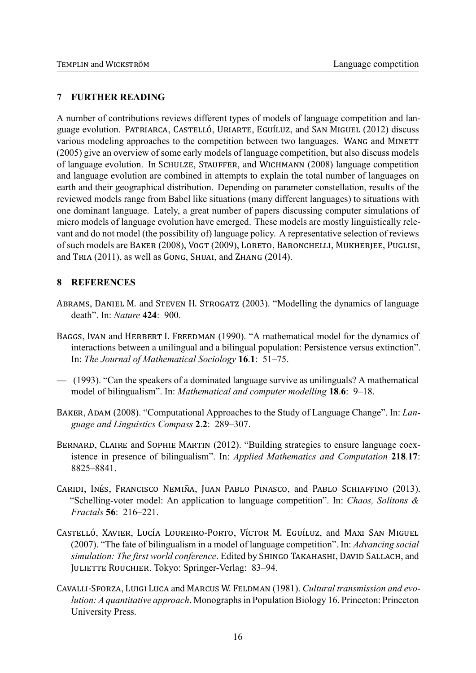# **7 FURTHER READING**

A number of contributions reviews different types of models of language competition and language evolution. PATRIARCA, CASTELLÓ, URIARTE, EGUÍLUZ, and SAN MIGUEL (2012) discuss various modeling approaches to the competition between two languages. WANG and MINETT (2005) give an overview of some early models of language competition, but also discuss models of language evolution. In SCHULZE, STAUFFER, and WICHMANN (2008) language competition and language evolution are combined in attempts to explain the total number of languages on earth and their geographical distribution. Depending on parameter constellation, results of the reviewed models range from Babel like situations (many different languages) to situations with one dominant language. Lately, a great number of papers discussing computer simulations of micro models of language evolution have emerged. These models are mostly linguistically relevant and do not model (the possibility of) language policy. A representative selection of reviews of such models are BAKER (2008), VOGT (2009), LORETO, BARONCHELLI, MUKHERJEE, PUGLISI, and TRIA (2011), as well as GONG, SHUAI, and ZHANG (2014).

# **8 REFERENCES**

- ABRAMS, DANIEL M. and STEVEN H. STROGATZ (2003). "Modelling the dynamics of language death". In: *Nature* **424**: 900.
- BAGGS, IVAN and HERBERT I. FREEDMAN (1990). "A mathematical model for the dynamics of interactions between a unilingual and a bilingual population: Persistence versus extinction". In: *The Journal of Mathematical Sociology* **16**.**1**: 51–75.
- (1993). "Can the speakers of a dominated language survive as unilinguals? A mathematical model of bilingualism". In: *Mathematical and computer modelling* **18**.**6**: 9–18.
- BAKER, ADAM (2008). "Computational Approaches to the Study of Language Change". In: *Language and Linguistics Compass* **2**.**2**: 289–307.
- BERNARD, CLAIRE and SOPHIE MARTIN (2012). "Building strategies to ensure language coexistence in presence of bilingualism". In: *Applied Mathematics and Computation* **218**.**17**: 8825–8841.
- CARIDI, INÉS, FRANCISCO NEMIÑA, JUAN PABLO PINASCO, and PABLO SCHIAFFINO (2013). "Schelling-voter model: An application to language competition". In: *Chaos, Solitons & Fractals* **56**: 216–221.
- CASTELLÓ, XAVIER, LUCÍA LOUREIRO‐PORTO, VÍCTOR M. EGUÍLUZ, and MAXI SAN MIGUEL (2007). "The fate of bilingualism in a model of language competition". In: *Advancing social simulation: The first world conference*. Edited by SHINGO TAKAHASHI, DAVID SALLACH, and JULIETTE ROUCHIER. Tokyo: Springer-Verlag: 83–94.
- CAVALLI‐SFORZA, LUIGI LUCA and MARCUS W. FELDMAN (1981). *Cultural transmission and evolution: A quantitative approach*. Monographs in Population Biology 16. Princeton: Princeton University Press.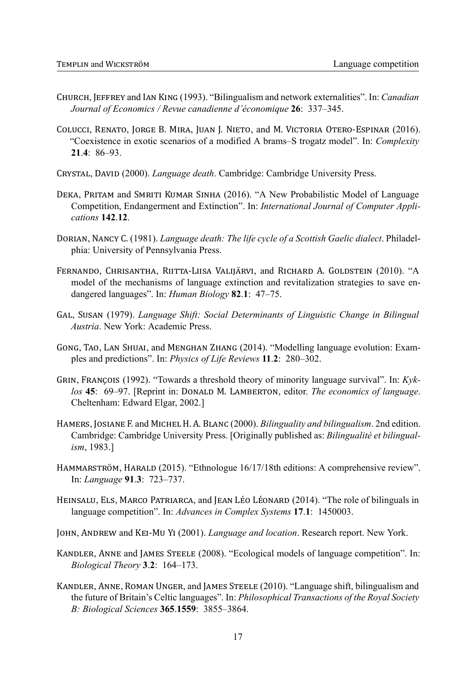- CHURCH, JEFFREY and IAN KING (1993). "Bilingualism and network externalities". In: *Canadian Journal of Economics / Revue canadienne d'économique* **26**: 337–345.
- COLUCCI, RENATO, JORGE B. MIRA, JUAN J. NIETO, and M. VICTORIA OTERO‐ESPINAR (2016). "Coexistence in exotic scenarios of a modified A brams–S trogatz model". In: *Complexity* **21**.**4**: 86–93.
- CRYSTAL, DAVID (2000). *Language death*. Cambridge: Cambridge University Press.
- DEKA, PRITAM and SMRITI KUMAR SINHA (2016). "A New Probabilistic Model of Language Competition, Endangerment and Extinction". In: *International Journal of Computer Applications* **142**.**12**.
- DORIAN, NANCY C. (1981). *Language death: The life cycle of a Scottish Gaelic dialect*. Philadelphia: University of Pennsylvania Press.
- FERNANDO, CHRISANTHA, RIITTA‐LIISA VALIJÄRVI, and RICHARD A. GOLDSTEIN (2010). "A model of the mechanisms of language extinction and revitalization strategies to save endangered languages". In: *Human Biology* **82**.**1**: 47–75.
- GAL, SUSAN (1979). *Language Shift: Social Determinants of Linguistic Change in Bilingual Austria*. New York: Academic Press.
- GONG, TAO, LAN SHUAI, and MENGHAN ZHANG (2014). "Modelling language evolution: Examples and predictions". In: *Physics of Life Reviews* **11**.**2**: 280–302.
- GRIN, FRANÇOIS (1992). "Towards a threshold theory of minority language survival". In: *Kyklos* **45**: 69–97. [Reprint in: DONALD M. LAMBERTON, editor. *The economics of language*. Cheltenham: Edward Elgar, 2002.]
- HAMERS, JOSIANE F. and MICHEL H. A. BLANC (2000). *Bilinguality and bilingualism*. 2nd edition. Cambridge: Cambridge University Press. [Originally published as: *Bilingualité et bilingualism*, 1983.]
- HAMMARSTRÖM, HARALD (2015). "Ethnologue 16/17/18th editions: A comprehensive review". In: *Language* **91**.**3**: 723–737.
- HEINSALU, ELS, MARCO PATRIARCA, and JEAN LÉO LÉONARD (2014). "The role of bilinguals in language competition". In: *Advances in Complex Systems* **17**.**1**: 1450003.
- JOHN, ANDREW and KEI‐MU YI (2001). *Language and location*. Research report. New York.
- KANDLER, ANNE and JAMES STEELE (2008). "Ecological models of language competition". In: *Biological Theory* **3**.**2**: 164–173.
- KANDLER, ANNE, ROMAN UNGER, and JAMES STEELE (2010). "Language shift, bilingualism and the future of Britain's Celtic languages". In: *Philosophical Transactions of the Royal Society B: Biological Sciences* **365**.**1559**: 3855–3864.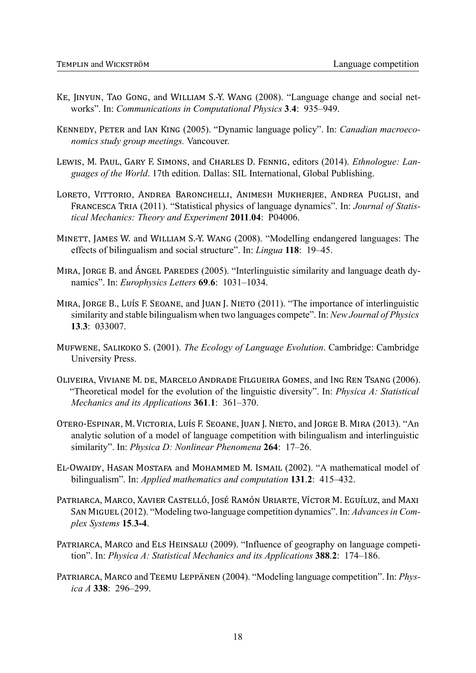- KE, JINYUN, TAO GONG, and WILLIAM S.‐Y. WANG (2008). "Language change and social networks". In: *Communications in Computational Physics* **3**.**4**: 935–949.
- KENNEDY, PETER and IAN KING (2005). "Dynamic language policy". In: *Canadian macroeconomics study group meetings.* Vancouver.
- LEWIS, M. PAUL, GARY F. SIMONS, and CHARLES D. FENNIG, editors (2014). *Ethnologue: Languages of the World*. 17th edition. Dallas: SIL International, Global Publishing.
- LORETO, VITTORIO, ANDREA BARONCHELLI, ANIMESH MUKHERJEE, ANDREA PUGLISI, and FRANCESCA TRIA (2011). "Statistical physics of language dynamics". In: *Journal of Statistical Mechanics: Theory and Experiment* **2011**.**04**: P04006.
- MINETT, JAMES W. and WILLIAM S.‐Y. WANG (2008). "Modelling endangered languages: The effects of bilingualism and social structure". In: *Lingua* **118**: 19–45.
- MIRA, JORGE B. and ÁNGEL PAREDES (2005). "Interlinguistic similarity and language death dynamics". In: *Europhysics Letters* **69**.**6**: 1031–1034.
- MIRA, JORGE B., LUÍS F. SEOANE, and JUAN J. NIETO (2011). "The importance of interlinguistic similarity and stable bilingualism when two languages compete". In: *New Journal of Physics* **13**.**3**: 033007.
- MUFWENE, SALIKOKO S. (2001). *The Ecology of Language Evolution*. Cambridge: Cambridge University Press.
- OLIVEIRA, VIVIANE M. DE, MARCELO ANDRADE FILGUEIRA GOMES, and ING REN TSANG (2006). "Theoretical model for the evolution of the linguistic diversity". In: *Physica A: Statistical Mechanics and its Applications* **361**.**1**: 361–370.
- OTERO‐ESPINAR, M. VICTORIA, LUÍS F. SEOANE, JUAN J. NIETO, and JORGE B. MIRA (2013). "An analytic solution of a model of language competition with bilingualism and interlinguistic similarity". In: *Physica D: Nonlinear Phenomena* **264**: 17–26.
- EL‐OWAIDY, HASAN MOSTAFA and MOHAMMED M. ISMAIL (2002). "A mathematical model of bilingualism". In: *Applied mathematics and computation* **131**.**2**: 415–432.
- PATRIARCA, MARCO, XAVIER CASTELLÓ, JOSÉ RAMÓN URIARTE, VÍCTOR M. EGUÍLUZ, and MAXI SAN MIGUEL (2012). "Modeling two-language competition dynamics". In: *Advances in Complex Systems* **15**.**34**.
- PATRIARCA, MARCO and ELS HEINSALU (2009). "Influence of geography on language competition". In: *Physica A: Statistical Mechanics and its Applications* **388**.**2**: 174–186.
- PATRIARCA, MARCO and TEEMU LEPPÄNEN (2004). "Modeling language competition". In: *Physica A* **338**: 296–299.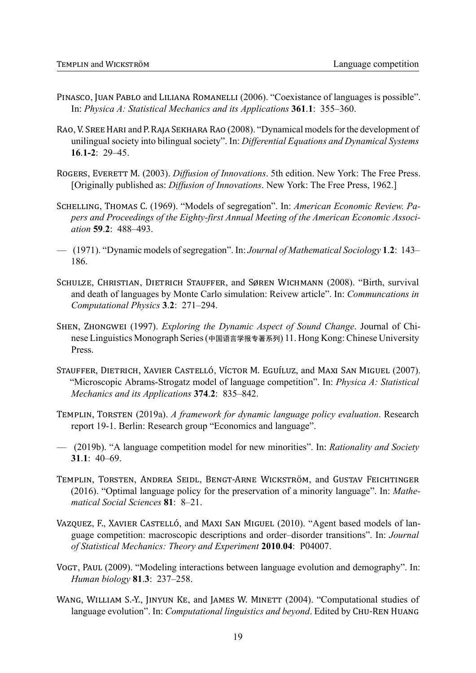- PINASCO, JUAN PABLO and LILIANA ROMANELLI (2006). "Coexistance of languages is possible". In: *Physica A: Statistical Mechanics and its Applications* **361**.**1**: 355–360.
- RAO, V. SREE HARI and P. RAJA SEKHARA RAO (2008). "Dynamical models for the development of unilingual society into bilingual society". In: *Differential Equations and Dynamical Systems* **16**.**12**: 29–45.
- ROGERS, EVERETT M. (2003). *Diffusion of Innovations*. 5th edition. New York: The Free Press. [Originally published as: *Diffusion of Innovations*. New York: The Free Press, 1962.]
- SCHELLING, THOMAS C. (1969). "Models of segregation". In: *American Economic Review. Pa*pers and Proceedings of the Eighty-first Annual Meeting of the American Economic Associ*ation* **59**.**2**: 488–493.
- (1971). "Dynamic models of segregation". In: *Journal of Mathematical Sociology* **1**.**2**: 143– 186.
- SCHULZE, CHRISTIAN, DIETRICH STAUFFER, and SØREN WICHMANN (2008). "Birth, survival and death of languages by Monte Carlo simulation: Reivew article". In: *Communcations in Computational Physics* **3**.**2**: 271–294.
- SHEN, ZHONGWEI (1997). *Exploring the Dynamic Aspect of Sound Change*. Journal of Chinese Linguistics Monograph Series (中国语言学报专著系列) 11. Hong Kong: Chinese University Press.
- STAUFFER, DIETRICH, XAVIER CASTELLÓ, VÍCTOR M. EGUÍLUZ, and MAXI SAN MIGUEL (2007). "Microscopic Abrams-Strogatz model of language competition". In: *Physica A: Statistical Mechanics and its Applications* **374**.**2**: 835–842.
- TEMPLIN, TORSTEN (2019a). *A framework for dynamic language policy evaluation*. Research report 19-1. Berlin: Research group "Economics and language".
- (2019b). "A language competition model for new minorities". In: *Rationality and Society* **31**.**1**: 40–69.
- TEMPLIN, TORSTEN, ANDREA SEIDL, BENGT‐ARNE WICKSTRÖM, and GUSTAV FEICHTINGER (2016). "Optimal language policy for the preservation of a minority language". In: *Mathematical Social Sciences* **81**: 8–21.
- VAZQUEZ, F., XAVIER CASTELLÓ, and MAXI SAN MIGUEL (2010). "Agent based models of language competition: macroscopic descriptions and order–disorder transitions". In: *Journal of Statistical Mechanics: Theory and Experiment* **2010**.**04**: P04007.
- VOGT, PAUL (2009). "Modeling interactions between language evolution and demography". In: *Human biology* **81**.**3**: 237–258.
- WANG, WILLIAM S.-Y., JINYUN KE, and JAMES W. MINETT (2004). "Computational studies of language evolution". In: *Computational linguistics and beyond*. Edited by CHU-REN HUANG